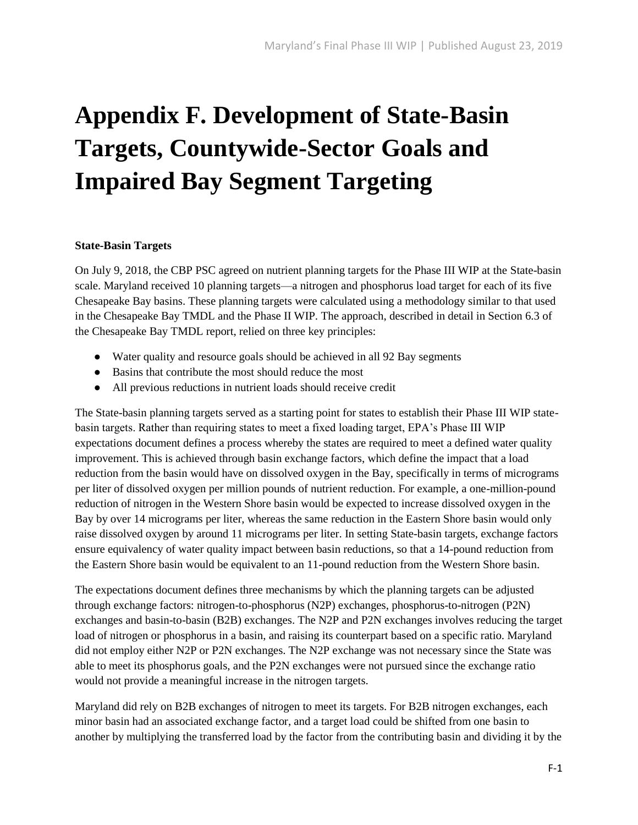# **Appendix F. Development of State-Basin Targets, Countywide-Sector Goals and Impaired Bay Segment Targeting**

#### **State-Basin Targets**

On July 9, 2018, the CBP PSC agreed on nutrient planning targets for the Phase III WIP at the State-basin scale. Maryland received 10 planning targets—a nitrogen and phosphorus load target for each of its five Chesapeake Bay basins. These planning targets were calculated using a methodology similar to that used in the Chesapeake Bay TMDL and the Phase II WIP. The approach, described in detail in Section 6.3 of the Chesapeake Bay TMDL report, relied on three key principles:

- Water quality and resource goals should be achieved in all 92 Bay segments
- Basins that contribute the most should reduce the most
- All previous reductions in nutrient loads should receive credit

The State-basin planning targets served as a starting point for states to establish their Phase III WIP statebasin targets. Rather than requiring states to meet a fixed loading target, EPA's Phase III WIP expectations document defines a process whereby the states are required to meet a defined water quality improvement. This is achieved through basin exchange factors, which define the impact that a load reduction from the basin would have on dissolved oxygen in the Bay, specifically in terms of micrograms per liter of dissolved oxygen per million pounds of nutrient reduction. For example, a one-million-pound reduction of nitrogen in the Western Shore basin would be expected to increase dissolved oxygen in the Bay by over 14 micrograms per liter, whereas the same reduction in the Eastern Shore basin would only raise dissolved oxygen by around 11 micrograms per liter. In setting State-basin targets, exchange factors ensure equivalency of water quality impact between basin reductions, so that a 14-pound reduction from the Eastern Shore basin would be equivalent to an 11-pound reduction from the Western Shore basin.

The expectations document defines three mechanisms by which the planning targets can be adjusted through exchange factors: nitrogen-to-phosphorus (N2P) exchanges, phosphorus-to-nitrogen (P2N) exchanges and basin-to-basin (B2B) exchanges. The N2P and P2N exchanges involves reducing the target load of nitrogen or phosphorus in a basin, and raising its counterpart based on a specific ratio. Maryland did not employ either N2P or P2N exchanges. The N2P exchange was not necessary since the State was able to meet its phosphorus goals, and the P2N exchanges were not pursued since the exchange ratio would not provide a meaningful increase in the nitrogen targets.

Maryland did rely on B2B exchanges of nitrogen to meet its targets. For B2B nitrogen exchanges, each minor basin had an associated exchange factor, and a target load could be shifted from one basin to another by multiplying the transferred load by the factor from the contributing basin and dividing it by the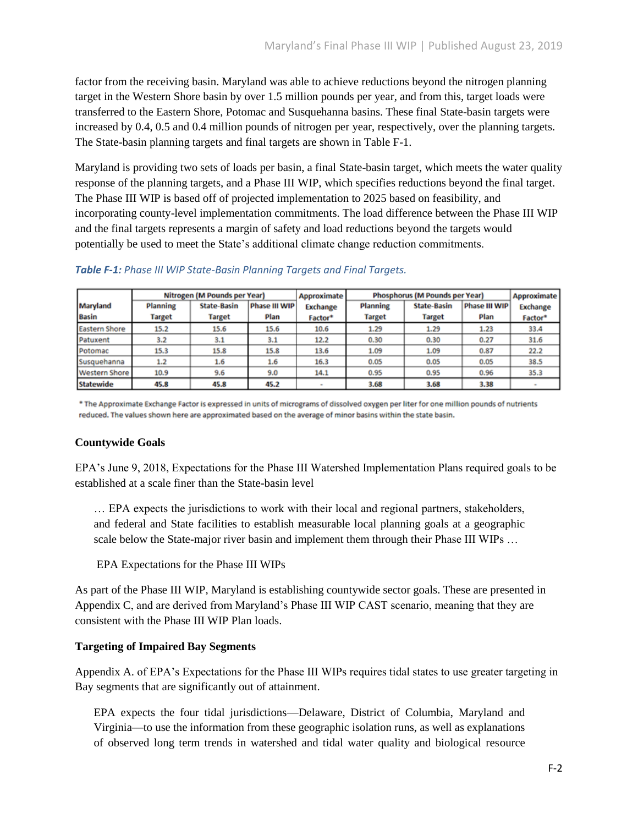factor from the receiving basin. Maryland was able to achieve reductions beyond the nitrogen planning target in the Western Shore basin by over 1.5 million pounds per year, and from this, target loads were transferred to the Eastern Shore, Potomac and Susquehanna basins. These final State-basin targets were increased by 0.4, 0.5 and 0.4 million pounds of nitrogen per year, respectively, over the planning targets. The State-basin planning targets and final targets are shown in Table F-1.

Maryland is providing two sets of loads per basin, a final State-basin target, which meets the water quality response of the planning targets, and a Phase III WIP, which specifies reductions beyond the final target. The Phase III WIP is based off of projected implementation to 2025 based on feasibility, and incorporating county-level implementation commitments. The load difference between the Phase III WIP and the final targets represents a margin of safety and load reductions beyond the targets would potentially be used to meet the State's additional climate change reduction commitments.

|                      | Nitrogen (M Pounds per Year) |                    |                  | Approximate         | Phosphorus (M Pounds per Year) |                    |                      | <b>Approximate</b> |
|----------------------|------------------------------|--------------------|------------------|---------------------|--------------------------------|--------------------|----------------------|--------------------|
| Maryland             | Planning                     | <b>State-Basin</b> | Phase III WIP    | <b>Exchange</b>     | Planning                       | <b>State-Basin</b> | <b>Phase III WIP</b> | <b>Exchange</b>    |
| <b>Basin</b>         | Target                       | <b>Target</b>      | Plan             | Factor <sup>*</sup> | <b>Target</b>                  | Target             | Plan                 | Factor*            |
| <b>Eastern Shore</b> | 15.2                         | 15.6               | 15.6             | 10.6                | 1.29                           | 1.29               | 1.23                 | 33.4               |
| Patuxent             | 3.2                          | 3.1                | 3.1              | 12.2                | 0.30                           | 0.30               | 0.27                 | 31.6               |
| Potomac              | 15.3                         | 15.8               | 15.8             | 13.6                | 1.09                           | 1.09               | 0.87                 | 22.2               |
| Susquehanna          | 1.2                          | 1.6                | $1.6\phantom{0}$ | 16.3                | 0.05                           | 0.05               | 0.05                 | 38.5               |
| <b>Western Shore</b> | 10.9                         | 9.6                | 9.0              | 14.1                | 0.95                           | 0.95               | 0.96                 | 35.3               |
| Statewide            | 45.8                         | 45.8               | 45.2             |                     | 3.68                           | 3.68               | 3.38                 |                    |

### *Table F-1: Phase III WIP State-Basin Planning Targets and Final Targets.*

\* The Approximate Exchange Factor is expressed in units of micrograms of dissolved oxygen per liter for one million pounds of nutrients reduced. The values shown here are approximated based on the average of minor basins within the state basin.

### **Countywide Goals**

EPA's June 9, 2018, Expectations for the Phase III Watershed Implementation Plans required goals to be established at a scale finer than the State-basin level

… EPA expects the jurisdictions to work with their local and regional partners, stakeholders, and federal and State facilities to establish measurable local planning goals at a geographic scale below the State-major river basin and implement them through their Phase III WIPs ...

EPA Expectations for the Phase III WIPs

As part of the Phase III WIP, Maryland is establishing countywide sector goals. These are presented in Appendix C, and are derived from Maryland's Phase III WIP CAST scenario, meaning that they are consistent with the Phase III WIP Plan loads.

### **Targeting of Impaired Bay Segments**

Appendix A. of EPA's Expectations for the Phase III WIPs requires tidal states to use greater targeting in Bay segments that are significantly out of attainment.

EPA expects the four tidal jurisdictions—Delaware, District of Columbia, Maryland and Virginia—to use the information from these geographic isolation runs, as well as explanations of observed long term trends in watershed and tidal water quality and biological resource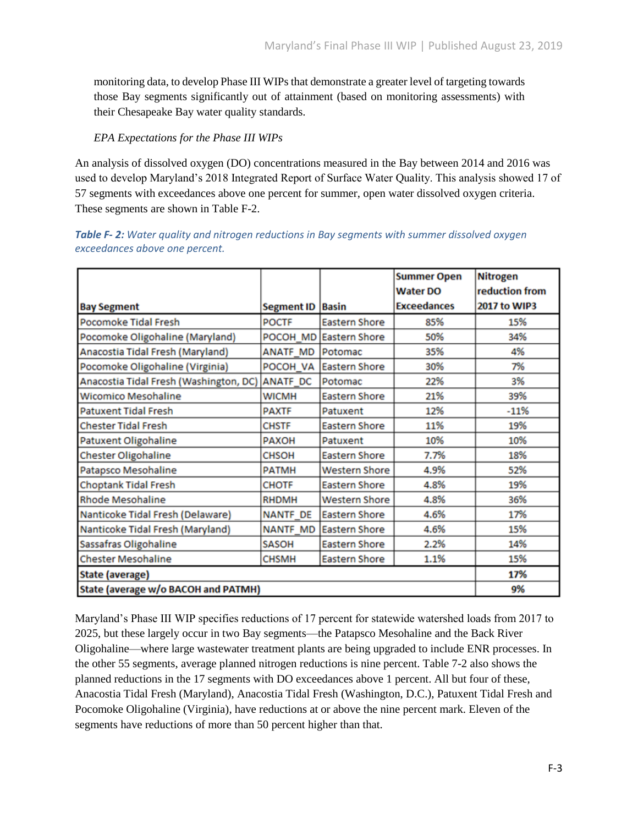monitoring data, to develop Phase III WIPs that demonstrate a greater level of targeting towards those Bay segments significantly out of attainment (based on monitoring assessments) with their Chesapeake Bay water quality standards.

# *EPA Expectations for the Phase III WIPs*

An analysis of dissolved oxygen (DO) concentrations measured in the Bay between 2014 and 2016 was used to develop Maryland's 2018 Integrated Report of Surface Water Quality. This analysis showed 17 of 57 segments with exceedances above one percent for summer, open water dissolved oxygen criteria. These segments are shown in Table F-2.

| <b>Table F-2:</b> Water quality and nitrogen reductions in Bay segments with summer dissolved oxygen |  |
|------------------------------------------------------------------------------------------------------|--|
| exceedances above one percent.                                                                       |  |

|                                        |                    |                        | <b>Summer Open</b> | <b>Nitrogen</b> |
|----------------------------------------|--------------------|------------------------|--------------------|-----------------|
|                                        |                    |                        | <b>Water DO</b>    | reduction from  |
| <b>Bay Segment</b>                     | Segment ID   Basin |                        | <b>Exceedances</b> | 2017 to WIP3    |
| Pocomoke Tidal Fresh                   | <b>POCTF</b>       | <b>Eastern Shore</b>   | 85%                | 15%             |
| Pocomoke Oligohaline (Maryland)        |                    | POCOH MD Eastern Shore | 50%                | 34%             |
| Anacostia Tidal Fresh (Maryland)       | <b>ANATF MD</b>    | <b>Potomac</b>         | 35%                | 4%              |
| Pocomoke Oligohaline (Virginia)        | POCOH VA           | <b>Eastern Shore</b>   | 30%                | 7%              |
| Anacostia Tidal Fresh (Washington, DC) | ANATF_DC           | Potomac                | 22%                | 3%              |
| <b>Wicomico Mesohaline</b>             | <b>WICMH</b>       | <b>Eastern Shore</b>   | 21%                | 39%             |
| <b>Patuxent Tidal Fresh</b>            | <b>PAXTF</b>       | Patuxent               | 12%                | $-11%$          |
| <b>Chester Tidal Fresh</b>             | <b>CHSTF</b>       | <b>Eastern Shore</b>   | 11%                | 19%             |
| Patuxent Oligohaline                   | <b>PAXOH</b>       | Patuxent               | 10%                | 10%             |
| Chester Oligohaline                    | <b>CHSOH</b>       | <b>Eastern Shore</b>   | 7.7%               | 18%             |
| Patapsco Mesohaline                    | PATMH              | <b>Western Shore</b>   | 4.9%               | 52%             |
| <b>Choptank Tidal Fresh</b>            | <b>CHOTF</b>       | <b>Eastern Shore</b>   | 4.8%               | 19%             |
| <b>Rhode Mesohaline</b>                | <b>RHDMH</b>       | <b>Western Shore</b>   | 4.8%               | 36%             |
| Nanticoke Tidal Fresh (Delaware)       | <b>NANTF DE</b>    | Eastern Shore          | 4.6%               | 17%             |
| Nanticoke Tidal Fresh (Maryland)       | <b>NANTF MD</b>    | <b>Eastern Shore</b>   | 4.6%               | 15%             |
| Sassafras Oligohaline                  | <b>SASOH</b>       | <b>Eastern Shore</b>   | 2.2%               | 14%             |
| <b>Chester Mesohaline</b>              | <b>CHSMH</b>       | <b>Eastern Shore</b>   | 1.1%               | 15%             |
| State (average)                        | 17%                |                        |                    |                 |
| State (average w/o BACOH and PATMH)    | 9%                 |                        |                    |                 |

Maryland's Phase III WIP specifies reductions of 17 percent for statewide watershed loads from 2017 to 2025, but these largely occur in two Bay segments—the Patapsco Mesohaline and the Back River Oligohaline—where large wastewater treatment plants are being upgraded to include ENR processes. In the other 55 segments, average planned nitrogen reductions is nine percent. Table 7-2 also shows the planned reductions in the 17 segments with DO exceedances above 1 percent. All but four of these, Anacostia Tidal Fresh (Maryland), Anacostia Tidal Fresh (Washington, D.C.), Patuxent Tidal Fresh and Pocomoke Oligohaline (Virginia), have reductions at or above the nine percent mark. Eleven of the segments have reductions of more than 50 percent higher than that.